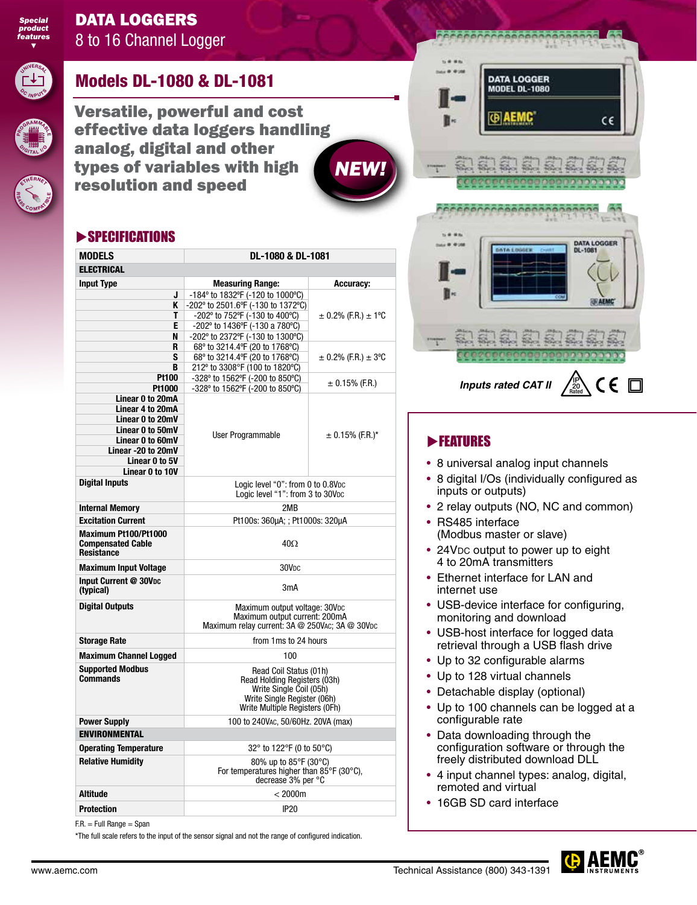

### DATA LOGGERS 8 to 16 Channel Logger



**<sup>D</sup><sup>I</sup> <sup>G</sup>ITA<sup>L</sup> <sup>I</sup>/<sup>O</sup>**

 $E$ 

**<sup>S</sup> <sup>4</sup> <sup>8</sup> <sup>5</sup> <sup>C</sup> <sup>O</sup> <sup>M</sup>APATÉ** 

## Models DL-1080 & DL-1081

Versatile, powerful and cost effective data loggers handling analog, digital and other types of variables with high resolution and speed

### SPECIFICATIONS

| <b>MODELS</b>                                                         | DL-1080 & DL-1081                                                                                                                                  |                             |
|-----------------------------------------------------------------------|----------------------------------------------------------------------------------------------------------------------------------------------------|-----------------------------|
| <b>ELECTRICAL</b>                                                     |                                                                                                                                                    |                             |
| <b>Input Type</b>                                                     | <b>Measuring Range:</b>                                                                                                                            | <b>Accuracy:</b>            |
| J                                                                     | -184° to 1832°F (-120 to 1000°C)                                                                                                                   |                             |
| ĸ                                                                     | -202° to 2501.6°F (-130 to 1372°C)                                                                                                                 |                             |
| т                                                                     | -202° to 752°F (-130 to 400°C)                                                                                                                     | $\pm$ 0.2% (F.R.) $\pm$ 1°C |
| E                                                                     | -202° to 1436°F (-130 a 780°C)                                                                                                                     |                             |
| N                                                                     | -202° to 2372°F (-130 to 1300°C)                                                                                                                   |                             |
| R                                                                     | 68° to 3214.4°F (20 to 1768°C)                                                                                                                     |                             |
| S                                                                     | 68° to 3214.4°F (20 to 1768°C)                                                                                                                     | $\pm$ 0.2% (F.R.) $\pm$ 3°C |
| B                                                                     | 212° to 3308°F (100 to 1820°C)                                                                                                                     |                             |
| <b>Pt100</b>                                                          | -328° to 1562°F (-200 to 850°C)                                                                                                                    | $\pm$ 0.15% (F.R.)          |
| Pt1000                                                                | -328° to 1562°F (-200 to 850°C)                                                                                                                    |                             |
| Linear 0 to 20mA                                                      |                                                                                                                                                    |                             |
| Linear 4 to 20mA                                                      |                                                                                                                                                    |                             |
| Linear 0 to 20mV                                                      |                                                                                                                                                    |                             |
| Linear 0 to 50mV                                                      | User Programmable                                                                                                                                  | $\pm$ 0.15% (F.R.)*         |
| Linear 0 to 60mV<br>Linear -20 to 20mV                                |                                                                                                                                                    |                             |
| Linear 0 to 5V                                                        |                                                                                                                                                    |                             |
| Linear 0 to 10V                                                       |                                                                                                                                                    |                             |
| <b>Digital Inputs</b>                                                 | Logic level "0": from 0 to 0.8Vpc                                                                                                                  |                             |
|                                                                       | Logic level "1": from 3 to 30Vpc                                                                                                                   |                             |
| <b>Internal Memory</b>                                                | 2MB                                                                                                                                                |                             |
| <b>Excitation Current</b>                                             | Pt100s: 360µA; ; Pt1000s: 320µA                                                                                                                    |                             |
| Maximum Pt100/Pt1000<br><b>Compensated Cable</b><br><b>Resistance</b> | $40\Omega$                                                                                                                                         |                             |
| <b>Maximum Input Voltage</b>                                          | 30V <sub>DC</sub>                                                                                                                                  |                             |
| Input Current @ 30Vpc<br>(typical)                                    | 3mA                                                                                                                                                |                             |
| <b>Digital Outputs</b>                                                | Maximum output voltage: 30Vpc<br>Maximum output current: 200mA<br>Maximum relay current: 3A @ 250VAC; 3A @ 30VDC                                   |                             |
| <b>Storage Rate</b>                                                   | from 1ms to 24 hours                                                                                                                               |                             |
| <b>Maximum Channel Logged</b>                                         | 100                                                                                                                                                |                             |
| <b>Supported Modbus</b><br><b>Commands</b>                            | Read Coil Status (01h)<br>Read Holding Registers (03h)<br>Write Single Coil (05h)<br>Write Single Register (06h)<br>Write Multiple Registers (OFh) |                             |
| <b>Power Supply</b>                                                   | 100 to 240Vac, 50/60Hz. 20VA (max)                                                                                                                 |                             |
| <b>ENVIRONMENTAL</b>                                                  |                                                                                                                                                    |                             |
| <b>Operating Temperature</b>                                          | 32° to 122°F (0 to 50°C)                                                                                                                           |                             |
| <b>Relative Humidity</b>                                              | 80% up to 85°F (30°C)                                                                                                                              |                             |
|                                                                       | For temperatures higher than 85°F (30°C),<br>decrease 3% per °C                                                                                    |                             |
| <b>Altitude</b>                                                       | < 2000m                                                                                                                                            |                             |
| <b>Protection</b>                                                     | <b>IP20</b>                                                                                                                                        |                             |

F.R. = Full Range = Span

\*The full scale refers to the input of the sensor signal and not the range of configured indication.

# **DATA LOGGER MODEL DL-1080 GIAEMC** CE DATA LOGGER<br>DL-1081 £6. fe.  $C \in \Box$ IP *Inputs rated CAT II*

### **FEATURES**

*NEW!*

- 8 universal analog input channels
- 8 digital I/Os (individually configured as inputs or outputs)

Rated 20

- 2 relay outputs (NO, NC and common)
- RS485 interface (Modbus master or slave)
- 24VDC output to power up to eight 4 to 20mA transmitters
- Ethernet interface for LAN and internet use
- USB-device interface for configuring, monitoring and download
- USB-host interface for logged data retrieval through a USB flash drive
- Up to 32 configurable alarms
- Up to 128 virtual channels
- Detachable display (optional)
- Up to 100 channels can be logged at a configurable rate
- Data downloading through the configuration software or through the freely distributed download DLL
- 4 input channel types: analog, digital, remoted and virtual
- 16GB SD card interface